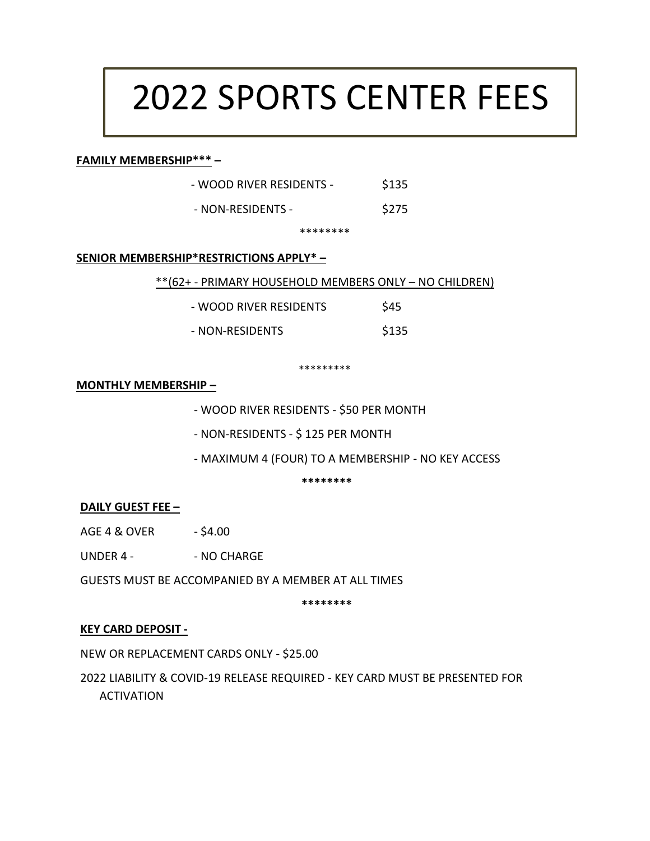# 2022 SPORTS CENTER FEES

#### **FAMILY MEMBERSHIP\*\*\* –**

| - WOOD RIVER RESIDENTS - | \$135 |
|--------------------------|-------|
|                          |       |

- NON-RESIDENTS - \$275

\*\*\*\*\*\*\*\*

#### **SENIOR MEMBERSHIP\*RESTRICTIONS APPLY\* –**

\*\*(62+ - PRIMARY HOUSEHOLD MEMBERS ONLY – NO CHILDREN)

| - WOOD RIVER RESIDENTS | \$45  |
|------------------------|-------|
| - NON-RESIDENTS        | \$135 |

\*\*\*\*\*\*\*\*\*

#### **MONTHLY MEMBERSHIP –**

- WOOD RIVER RESIDENTS - \$50 PER MONTH

- NON-RESIDENTS - \$ 125 PER MONTH

- MAXIMUM 4 (FOUR) TO A MEMBERSHIP - NO KEY ACCESS

**\*\*\*\*\*\*\*\***

#### **DAILY GUEST FEE –**

AGE 4 & OVER - \$4.00

UNDER 4 - - - NO CHARGE

GUESTS MUST BE ACCOMPANIED BY A MEMBER AT ALL TIMES

**\*\*\*\*\*\*\*\***

#### **KEY CARD DEPOSIT -**

NEW OR REPLACEMENT CARDS ONLY - \$25.00

2022 LIABILITY & COVID-19 RELEASE REQUIRED - KEY CARD MUST BE PRESENTED FOR ACTIVATION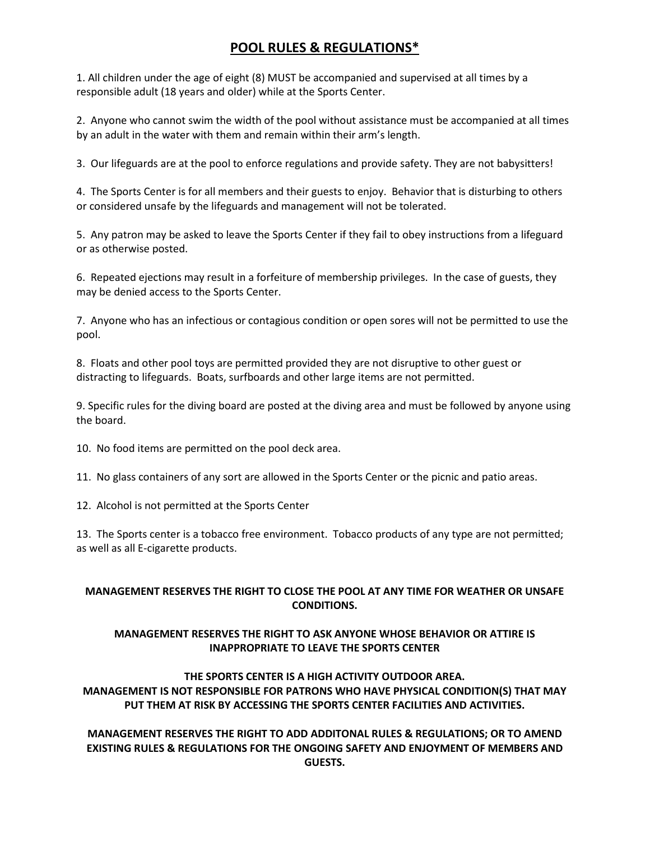### **POOL RULES & REGULATIONS\***

1. All children under the age of eight (8) MUST be accompanied and supervised at all times by a responsible adult (18 years and older) while at the Sports Center.

2. Anyone who cannot swim the width of the pool without assistance must be accompanied at all times by an adult in the water with them and remain within their arm's length.

3. Our lifeguards are at the pool to enforce regulations and provide safety. They are not babysitters!

4. The Sports Center is for all members and their guests to enjoy. Behavior that is disturbing to others or considered unsafe by the lifeguards and management will not be tolerated.

5. Any patron may be asked to leave the Sports Center if they fail to obey instructions from a lifeguard or as otherwise posted.

6. Repeated ejections may result in a forfeiture of membership privileges. In the case of guests, they may be denied access to the Sports Center.

7. Anyone who has an infectious or contagious condition or open sores will not be permitted to use the pool.

8. Floats and other pool toys are permitted provided they are not disruptive to other guest or distracting to lifeguards. Boats, surfboards and other large items are not permitted.

9. Specific rules for the diving board are posted at the diving area and must be followed by anyone using the board.

10. No food items are permitted on the pool deck area.

11. No glass containers of any sort are allowed in the Sports Center or the picnic and patio areas.

12. Alcohol is not permitted at the Sports Center

13. The Sports center is a tobacco free environment. Tobacco products of any type are not permitted; as well as all E-cigarette products.

#### **MANAGEMENT RESERVES THE RIGHT TO CLOSE THE POOL AT ANY TIME FOR WEATHER OR UNSAFE CONDITIONS.**

#### **MANAGEMENT RESERVES THE RIGHT TO ASK ANYONE WHOSE BEHAVIOR OR ATTIRE IS INAPPROPRIATE TO LEAVE THE SPORTS CENTER**

#### **THE SPORTS CENTER IS A HIGH ACTIVITY OUTDOOR AREA. MANAGEMENT IS NOT RESPONSIBLE FOR PATRONS WHO HAVE PHYSICAL CONDITION(S) THAT MAY PUT THEM AT RISK BY ACCESSING THE SPORTS CENTER FACILITIES AND ACTIVITIES.**

**MANAGEMENT RESERVES THE RIGHT TO ADD ADDITONAL RULES & REGULATIONS; OR TO AMEND EXISTING RULES & REGULATIONS FOR THE ONGOING SAFETY AND ENJOYMENT OF MEMBERS AND GUESTS.**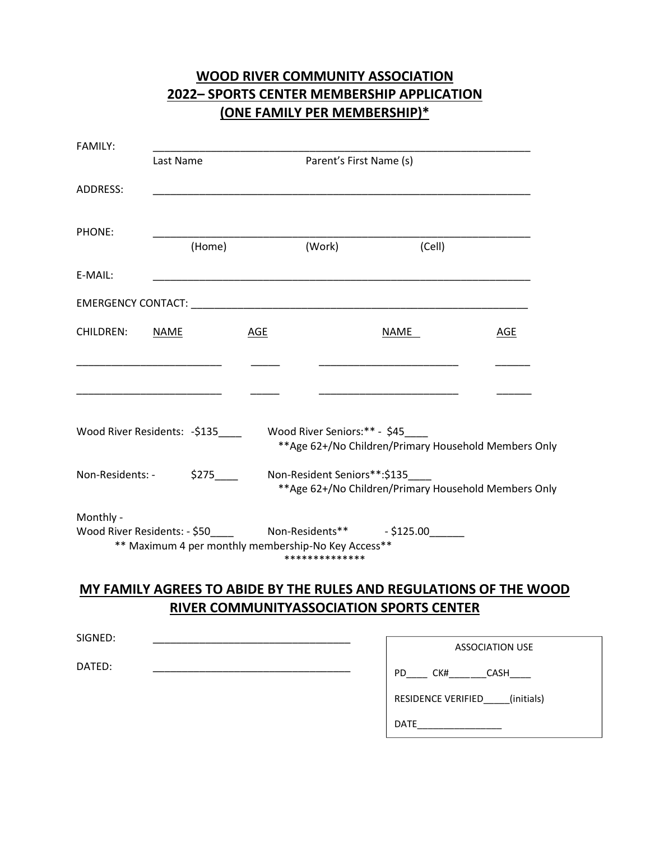| <b>2022-SPORTS CENTER MEMBERSHIP APPLICATION</b><br>(ONE FAMILY PER MEMBERSHIP)* |                                                                                                           |     |                                                                                       |                                                       |     |
|----------------------------------------------------------------------------------|-----------------------------------------------------------------------------------------------------------|-----|---------------------------------------------------------------------------------------|-------------------------------------------------------|-----|
| <b>FAMILY:</b>                                                                   | Last Name                                                                                                 |     | Parent's First Name (s)                                                               |                                                       |     |
| ADDRESS:                                                                         |                                                                                                           |     |                                                                                       |                                                       |     |
| PHONE:                                                                           | (Home)                                                                                                    |     | (Work)                                                                                | (Cell)                                                |     |
| E-MAIL:                                                                          |                                                                                                           |     |                                                                                       |                                                       |     |
|                                                                                  |                                                                                                           |     |                                                                                       |                                                       |     |
| <b>CHILDREN:</b>                                                                 | <b>NAME</b>                                                                                               | AGE |                                                                                       | NAME                                                  | AGE |
|                                                                                  |                                                                                                           |     |                                                                                       |                                                       |     |
|                                                                                  | Wood River Residents: -\$135                                                                              |     | Wood River Seniors:** - \$45                                                          | ** Age 62+/No Children/Primary Household Members Only |     |
| Non-Residents: -                                                                 | \$275                                                                                                     |     | Non-Resident Seniors**:\$135<br>** Age 62+/No Children/Primary Household Members Only |                                                       |     |
| Monthly -                                                                        | Wood River Residents: - \$50______ Non-Residents**<br>** Maximum 4 per monthly membership-No Key Access** |     | **************                                                                        |                                                       |     |

# **WOOD RIVER COMMUNITY ASSOCIATION**

# **MY FAMILY AGREES TO ABIDE BY THE RULES AND REGULATIONS OF THE WOOD RIVER COMMUNITYASSOCIATION SPORTS CENTER**

| SIGNED: | <b>ASSOCIATION USE</b>           |
|---------|----------------------------------|
| DATED:  | PD.<br>CK#<br>CASH               |
|         | (initials)<br>RESIDENCE VERIFIED |
|         | <b>DATE</b>                      |